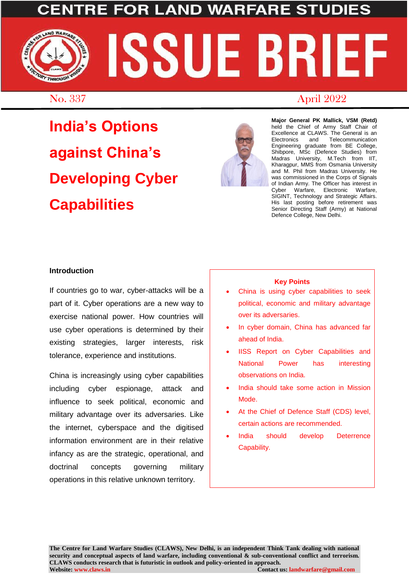## AND WA

# AND WARFARE **SSUE BR** THROUGH

### No. 337 April 2022

**India's Options against China's Developing Cyber Capabilities**



**Major General PK Mallick, VSM (Retd)** held the Chief of Army Staff Chair of Excellence at CLAWS. The General is an Electronics and Telecommunication Engineering graduate from BE College, Shibpore, MSc (Defence Studies) from Madras University, M.Tech from IIT, Kharagpur, MMS from Osmania University and M. Phil from Madras University. He was commissioned in the Corps of Signals of Indian Army. The Officer has interest in Cyber Warfare, Electronic Warfare, SIGINT, Technology and Strategic Affairs. His last posting before retirement was Senior Directing Staff (Army) at National Defence College, New Delhi.

#### **Introduction**

If countries go to war, cyber-attacks will be a part of it. Cyber operations are a new way to exercise national power. How countries will use cyber operations is determined by their existing strategies, larger interests, risk tolerance, experience and institutions.

China is increasingly using cyber capabilities including cyber espionage, attack and influence to seek political, economic and military advantage over its adversaries. Like the internet, cyberspace and the digitised information environment are in their relative infancy as are the strategic, operational, and doctrinal concepts governing military operations in this relative unknown territory.

#### **Key Points**

- China is using cyber capabilities to seek political, economic and military advantage over its adversaries.
- In cyber domain, China has advanced far ahead of India.
- IISS Report on Cyber Capabilities and National Power has interesting observations on India.
- India should take some action in Mission Mode.
- At the Chief of Defence Staff (CDS) level, certain actions are recommended.
- India should develop Deterrence Capability.

**The Centre for Land Warfare Studies (CLAWS), New Delhi, is an independent Think Tank dealing with national security and conceptual aspects of land warfare, including conventional & sub-conventional conflict and terrorism. CLAWS conducts research that is futuristic in outlook and policy-oriented in approach. Website: www.claws.in Contact us: landwarfare@gmail.com**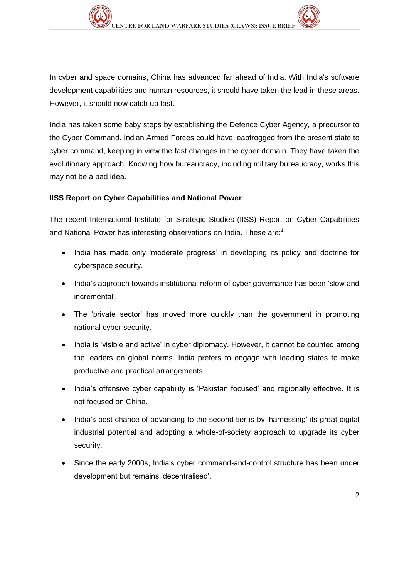In cyber and space domains, China has advanced far ahead of India. With India's software development capabilities and human resources, it should have taken the lead in these areas. However, it should now catch up fast.

India has taken some baby steps by establishing the Defence Cyber Agency, a precursor to the Cyber Command. Indian Armed Forces could have leapfrogged from the present state to cyber command, keeping in view the fast changes in the cyber domain. They have taken the evolutionary approach. Knowing how bureaucracy, including military bureaucracy, works this may not be a bad idea.

#### **IISS Report on Cyber Capabilities and National Power**

The recent International Institute for Strategic Studies (IISS) Report on Cyber Capabilities and National Power has interesting observations on India. These are: 1

- India has made only 'moderate progress' in developing its policy and doctrine for cyberspace security.
- India's approach towards institutional reform of cyber governance has been 'slow and incremental'.
- The 'private sector' has moved more quickly than the government in promoting national cyber security.
- India is 'visible and active' in cyber diplomacy. However, it cannot be counted among the leaders on global norms. India prefers to engage with leading states to make productive and practical arrangements.
- India's offensive cyber capability is 'Pakistan focused' and regionally effective. It is not focused on China.
- India's best chance of advancing to the second tier is by 'harnessing' its great digital industrial potential and adopting a whole-of-society approach to upgrade its cyber security.
- Since the early 2000s, India's cyber command-and-control structure has been under development but remains 'decentralised'.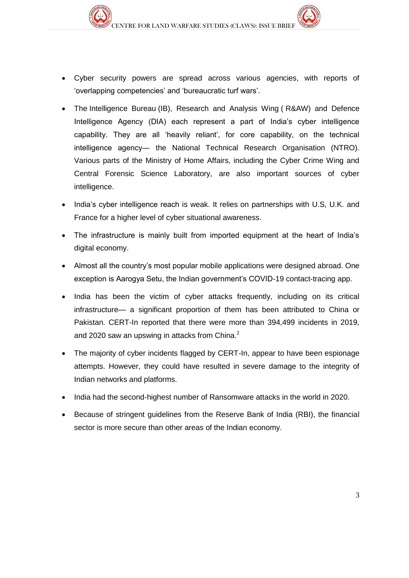- Cyber security powers are spread across various agencies, with reports of 'overlapping competencies' and 'bureaucratic turf wars'.
- The Intelligence Bureau (IB), Research and Analysis Wing ( R&AW) and Defence Intelligence Agency (DIA) each represent a part of India's cyber intelligence capability. They are all 'heavily reliant', for core capability, on the technical intelligence agency― the National Technical Research Organisation (NTRO). Various parts of the Ministry of Home Affairs, including the Cyber Crime Wing and Central Forensic Science Laboratory, are also important sources of cyber intelligence.
- India's cyber intelligence reach is weak. It relies on partnerships with U.S, U.K. and France for a higher level of cyber situational awareness.
- The infrastructure is mainly built from imported equipment at the heart of India's digital economy.
- Almost all the country's most popular mobile applications were designed abroad. One exception is Aarogya Setu, the Indian government's COVID-19 contact-tracing app.
- India has been the victim of cyber attacks frequently, including on its critical infrastructure— a significant proportion of them has been attributed to China or Pakistan. CERT-In reported that there were more than 394,499 incidents in 2019, and 2020 saw an upswing in attacks from China.<sup>2</sup>
- The majority of cyber incidents flagged by CERT-In, appear to have been espionage attempts. However, they could have resulted in severe damage to the integrity of Indian networks and platforms.
- India had the second-highest number of Ransomware attacks in the world in 2020.
- Because of stringent guidelines from the Reserve Bank of India (RBI), the financial sector is more secure than other areas of the Indian economy.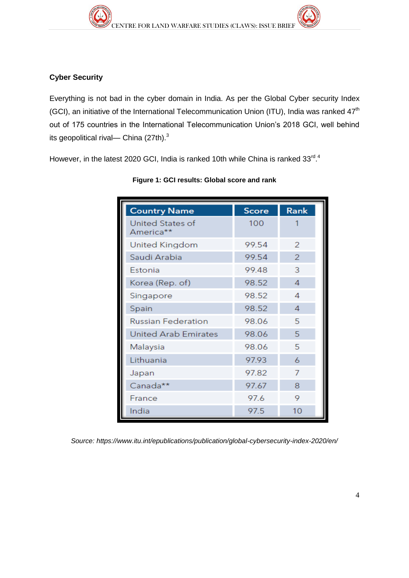#### **Cyber Security**

Everything is not bad in the cyber domain in India. As per the Global Cyber security Index (GCI), an initiative of the International Telecommunication Union (ITU), India was ranked  $47<sup>th</sup>$ out of 175 countries in the International Telecommunication Union's 2018 GCI, well behind its geopolitical rival— China  $(27th).$ <sup>3</sup>

However, in the latest 2020 GCI, India is ranked 10th while China is ranked  $33^{\text{rd}}$ .

| <b>Country Name</b>           | <b>Score</b> | Rank           |
|-------------------------------|--------------|----------------|
| United States of<br>America** | 100          |                |
| United Kingdom                | 99.54        | 2              |
| Saudi Arabia                  | 99.54        | $\overline{2}$ |
| Estonia                       | 99.48        | 3              |
| Korea (Rep. of)               | 98.52        | 4              |
| Singapore                     | 98.52        | 4              |
| Spain                         | 98.52        | $\overline{4}$ |
| <b>Russian Federation</b>     | 98.06        | 5              |
| <b>United Arab Emirates</b>   | 98.06        | 5              |
| Malaysia                      | 98.06        | 5              |
| Lithuania                     | 97.93        | 6              |
| Japan                         | 97.82        | 7              |
| Canada**                      | 97.67        | 8              |
| France                        | 97.6         | 9              |
| India                         | 97.5         | 10             |

#### **Figure 1: GCI results: Global score and rank**

*Source:<https://www.itu.int/epublications/publication/global-cybersecurity-index-2020/en/>*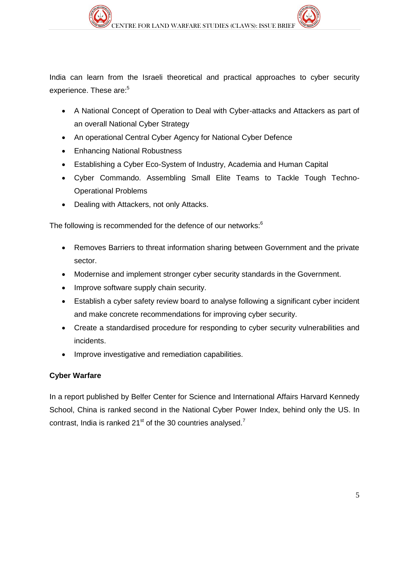India can learn from the Israeli theoretical and practical approaches to cyber security experience. These are:<sup>5</sup>

- A National Concept of Operation to Deal with Cyber-attacks and Attackers as part of an overall National Cyber Strategy
- An operational Central Cyber Agency for National Cyber Defence
- Enhancing National Robustness
- Establishing a Cyber Eco-System of Industry, Academia and Human Capital
- Cyber Commando. Assembling Small Elite Teams to Tackle Tough Techno-Operational Problems
- Dealing with Attackers, not only Attacks.

The following is recommended for the defence of our networks:<sup>6</sup>

- Removes Barriers to threat information sharing between Government and the private sector.
- Modernise and implement stronger cyber security standards in the Government.
- Improve software supply chain security.
- Establish a cyber safety review board to analyse following a significant cyber incident and make concrete recommendations for improving cyber security.
- Create a standardised procedure for responding to cyber security vulnerabilities and incidents.
- Improve investigative and remediation capabilities.

#### **Cyber Warfare**

In a report published by Belfer Center for Science and International Affairs Harvard Kennedy School, China is ranked second in the National Cyber Power Index, behind only the US. In contrast, India is ranked  $21<sup>st</sup>$  of the 30 countries analysed.<sup>7</sup>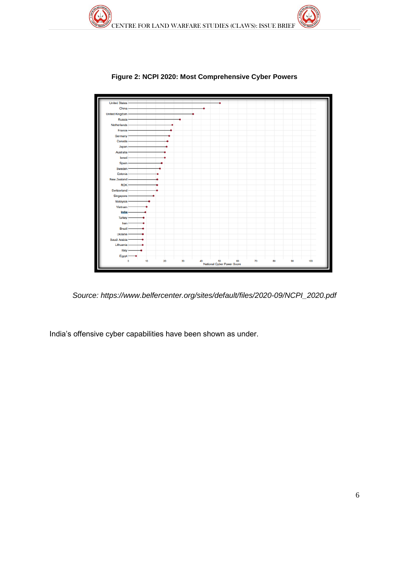

**Figure 2: NCPI 2020: Most Comprehensive Cyber Powers**

*Source: [https://www.belfercenter.org/sites/default/files/2020-09/NCPI\\_2020.pdf](https://www.belfercenter.org/sites/default/files/2020-09/NCPI_2020.pdf)*

India's offensive cyber capabilities have been shown as under.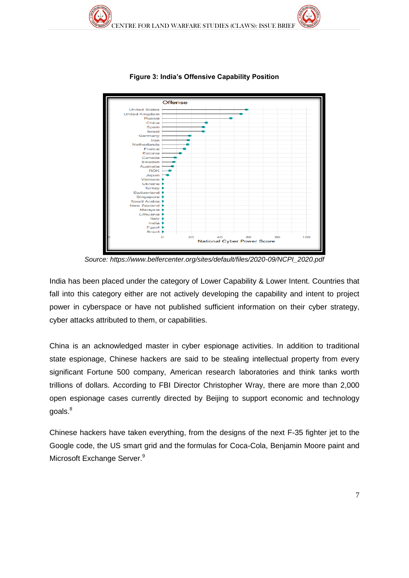

**Figure 3: India's Offensive Capability Position**

*Source: [https://www.belfercenter.org/sites/default/files/2020-09/NCPI\\_2020.pdf](https://www.belfercenter.org/sites/default/files/2020-09/NCPI_2020.pdf)*

India has been placed under the category of Lower Capability & Lower Intent. Countries that fall into this category either are not actively developing the capability and intent to project power in cyberspace or have not published sufficient information on their cyber strategy, cyber attacks attributed to them, or capabilities.

China is an acknowledged master in cyber espionage activities. In addition to traditional state espionage, Chinese hackers are said to be stealing intellectual property from every significant Fortune 500 company, American research laboratories and think tanks worth trillions of dollars. According to FBI Director Christopher Wray, there are more than 2,000 open espionage cases currently directed by Beijing to support economic and technology goals.<sup>8</sup>

Chinese hackers have taken everything, from the designs of the next F-35 fighter jet to the Google code, the US smart grid and the formulas for Coca-Cola, Benjamin Moore paint and Microsoft Exchange Server.<sup>9</sup>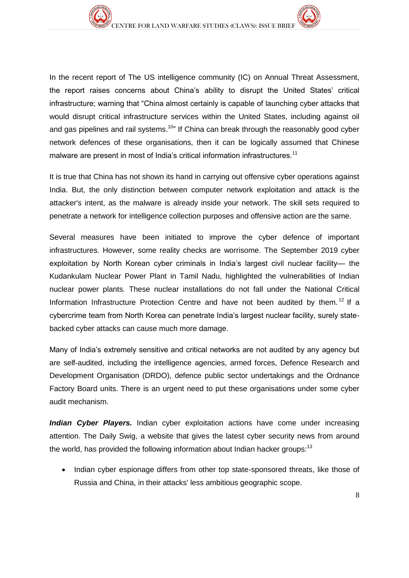In the recent report of The US intelligence community (IC) on Annual Threat Assessment, the report raises concerns about China's ability to disrupt the United States' critical infrastructure; warning that "China almost certainly is capable of launching cyber attacks that would disrupt critical infrastructure services within the United States, including against oil and gas pipelines and rail systems.<sup>10"</sup> If China can break through the reasonably good cyber network defences of these organisations, then it can be logically assumed that Chinese malware are present in most of India's critical information infrastructures.<sup>11</sup>

It is true that China has not shown its hand in carrying out offensive cyber operations against India. But, the only distinction between computer network exploitation and attack is the attacker's intent, as the malware is already inside your network. The skill sets required to penetrate a network for intelligence collection purposes and offensive action are the same.

Several measures have been initiated to improve the cyber defence of important infrastructures. However, some reality checks are worrisome. The September 2019 cyber exploitation by North Korean cyber criminals in India's largest civil nuclear facility— the Kudankulam Nuclear Power Plant in Tamil Nadu, highlighted the vulnerabilities of Indian nuclear power plants. These nuclear installations do not fall under the National Critical Information Infrastructure Protection Centre and have not been audited by them.<sup>12</sup> If a cybercrime team from North Korea can penetrate India's largest nuclear facility, surely statebacked cyber attacks can cause much more damage.

Many of India's extremely sensitive and critical networks are not audited by any agency but are self-audited, including the intelligence agencies, armed forces, Defence Research and Development Organisation (DRDO), defence public sector undertakings and the Ordnance Factory Board units. There is an urgent need to put these organisations under some cyber audit mechanism.

**Indian Cyber Players.** Indian cyber exploitation actions have come under increasing attention. The Daily Swig, a website that gives the latest cyber security news from around the world, has provided the following information about Indian hacker groups:  $13$ 

• Indian cyber espionage differs from other top state-sponsored threats, like those of Russia and China, in their attacks' less ambitious geographic scope.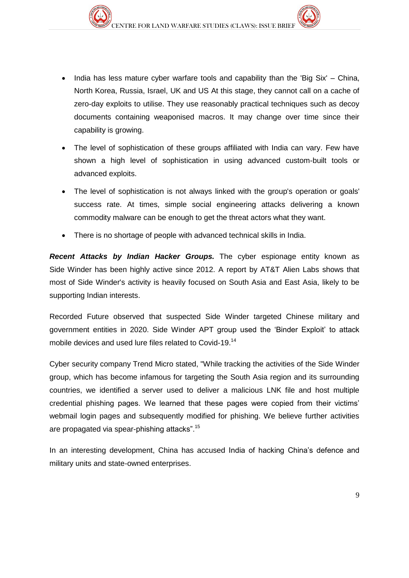- India has less mature cyber warfare tools and capability than the 'Big Six' China, North Korea, Russia, Israel, UK and US At this stage, they cannot call on a cache of zero-day exploits to utilise. They use reasonably practical techniques such as decoy documents containing weaponised macros. It may change over time since their capability is growing.
- The level of sophistication of these groups affiliated with India can vary. Few have shown a high level of sophistication in using advanced custom-built tools or advanced exploits.
- The level of sophistication is not always linked with the group's operation or goals' success rate. At times, simple social engineering attacks delivering a known commodity malware can be enough to get the threat actors what they want.
- There is no shortage of people with advanced technical skills in India.

*Recent Attacks by Indian Hacker Groups.* The cyber espionage entity known as Side Winder has been highly active since 2012. A report by AT&T Alien Labs shows that most of Side Winder's activity is heavily focused on South Asia and East Asia, likely to be supporting Indian interests.

Recorded Future observed that suspected Side Winder targeted Chinese military and government entities in 2020. Side Winder APT group used the 'Binder Exploit' to attack mobile devices and used lure files related to Covid-19.<sup>14</sup>

Cyber security company Trend Micro stated, "While tracking the activities of the Side Winder group, which has become infamous for targeting the South Asia region and its surrounding countries, we identified a server used to deliver a malicious LNK file and host multiple credential phishing pages. We learned that these pages were copied from their victims' webmail login pages and subsequently modified for phishing. We believe further activities are propagated via spear-phishing attacks".<sup>15</sup>

In an interesting development, China has accused India of hacking China's defence and military units and state-owned enterprises.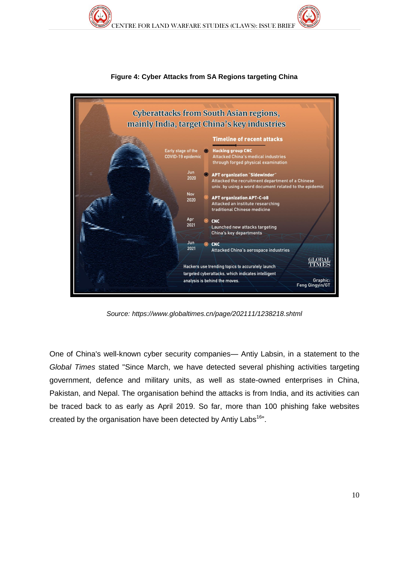

**Figure 4: Cyber Attacks from SA Regions targeting China**

*Source:<https://www.globaltimes.cn/page/202111/1238218.shtml>*

One of China's well-known cyber security companies— Antiy Labsin, in a statement to the *Global Times* stated "Since March, we have detected several phishing activities targeting government, defence and military units, as well as state-owned enterprises in China, Pakistan, and Nepal. The organisation behind the attacks is from India, and its activities can be traced back to as early as April 2019. So far, more than 100 phishing fake websites created by the organisation have been detected by Antiy Labs<sup>16</sup>".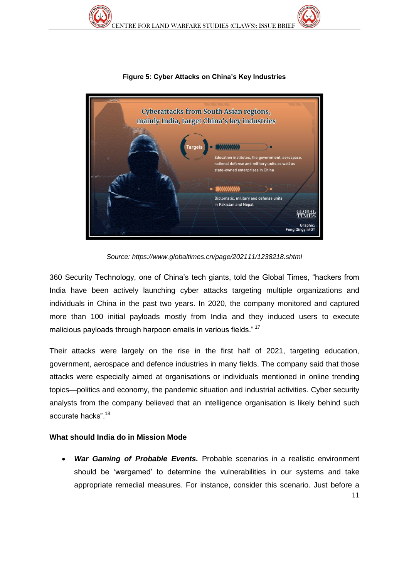

**Figure 5: Cyber Attacks on China's Key Industries**

*Source:<https://www.globaltimes.cn/page/202111/1238218.shtml>*

360 Security Technology, one of China's tech giants, told the Global Times, "hackers from India have been actively launching cyber attacks targeting multiple organizations and individuals in China in the past two years. In 2020, the company monitored and captured more than 100 initial payloads mostly from India and they induced users to execute malicious payloads through harpoon emails in various fields."<sup>17</sup>

Their attacks were largely on the rise in the first half of 2021, targeting education, government, aerospace and defence industries in many fields. The company said that those attacks were especially aimed at organisations or individuals mentioned in online trending topics—politics and economy, the pandemic situation and industrial activities. Cyber security analysts from the company believed that an intelligence organisation is likely behind such accurate hacks".<sup>18</sup>

#### **What should India do in Mission Mode**

11 *War Gaming of Probable Events.* Probable scenarios in a realistic environment should be 'wargamed' to determine the vulnerabilities in our systems and take appropriate remedial measures. For instance, consider this scenario. Just before a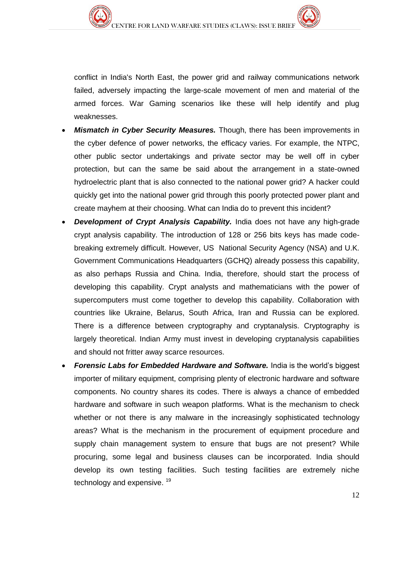conflict in India's North East, the power grid and railway communications network failed, adversely impacting the large-scale movement of men and material of the armed forces. War Gaming scenarios like these will help identify and plug weaknesses.

- *Mismatch in Cyber Security Measures.* Though, there has been improvements in the cyber defence of power networks, the efficacy varies. For example, the NTPC, other public sector undertakings and private sector may be well off in cyber protection, but can the same be said about the arrangement in a state-owned hydroelectric plant that is also connected to the national power grid? A hacker could quickly get into the national power grid through this poorly protected power plant and create mayhem at their choosing. What can India do to prevent this incident?
- *Development of Crypt Analysis Capability.* India does not have any high-grade crypt analysis capability. The introduction of 128 or 256 bits keys has made codebreaking extremely difficult. However, US National Security Agency (NSA) and U.K. Government Communications Headquarters (GCHQ) already possess this capability, as also perhaps Russia and China. India, therefore, should start the process of developing this capability. Crypt analysts and mathematicians with the power of supercomputers must come together to develop this capability. Collaboration with countries like Ukraine, Belarus, South Africa, Iran and Russia can be explored. There is a difference between cryptography and cryptanalysis. Cryptography is largely theoretical. Indian Army must invest in developing cryptanalysis capabilities and should not fritter away scarce resources.
- *Forensic Labs for Embedded Hardware and Software.* India is the world's biggest importer of military equipment, comprising plenty of electronic hardware and software components. No country shares its codes. There is always a chance of embedded hardware and software in such weapon platforms. What is the mechanism to check whether or not there is any malware in the increasingly sophisticated technology areas? What is the mechanism in the procurement of equipment procedure and supply chain management system to ensure that bugs are not present? While procuring, some legal and business clauses can be incorporated. India should develop its own testing facilities. Such testing facilities are extremely niche technology and expensive.<sup>19</sup>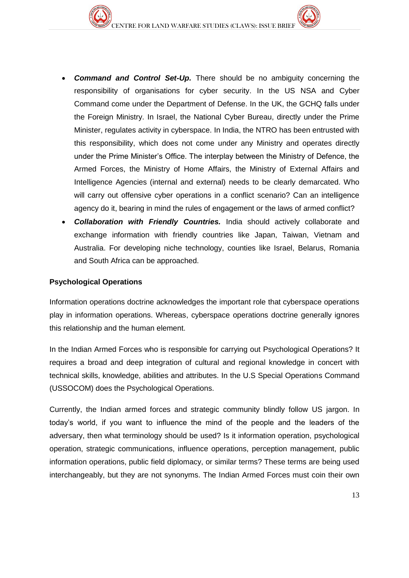- *Command and Control Set-Up.* There should be no ambiguity concerning the responsibility of organisations for cyber security. In the US NSA and Cyber Command come under the Department of Defense. In the UK, the GCHQ falls under the Foreign Ministry. In Israel, the National Cyber Bureau, directly under the Prime Minister, regulates activity in cyberspace. In India, the NTRO has been entrusted with this responsibility, which does not come under any Ministry and operates directly under the Prime Minister's Office. The interplay between the Ministry of Defence, the Armed Forces, the Ministry of Home Affairs, the Ministry of External Affairs and Intelligence Agencies (internal and external) needs to be clearly demarcated. Who will carry out offensive cyber operations in a conflict scenario? Can an intelligence agency do it, bearing in mind the rules of engagement or the laws of armed conflict?
- *Collaboration with Friendly Countries.* India should actively collaborate and exchange information with friendly countries like Japan, Taiwan, Vietnam and Australia. For developing niche technology, counties like Israel, Belarus, Romania and South Africa can be approached.

#### **Psychological Operations**

Information operations doctrine acknowledges the important role that cyberspace operations play in information operations. Whereas, cyberspace operations doctrine generally ignores this relationship and the human element.

In the Indian Armed Forces who is responsible for carrying out Psychological Operations? It requires a broad and deep integration of cultural and regional knowledge in concert with technical skills, knowledge, abilities and attributes. In the U.S Special Operations Command (USSOCOM) does the Psychological Operations.

Currently, the Indian armed forces and strategic community blindly follow US jargon. In today's world, if you want to influence the mind of the people and the leaders of the adversary, then what terminology should be used? Is it information operation, psychological operation, strategic communications, influence operations, perception management, public information operations, public field diplomacy, or similar terms? These terms are being used interchangeably, but they are not synonyms. The Indian Armed Forces must coin their own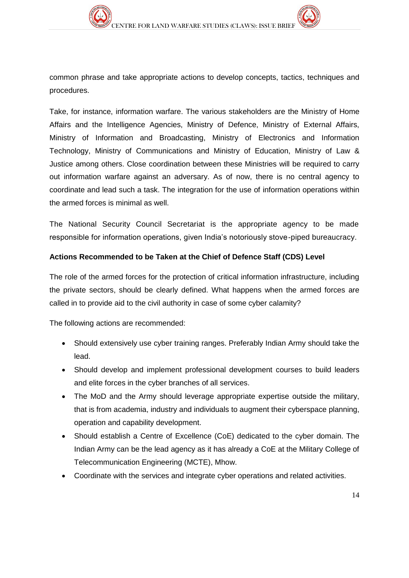common phrase and take appropriate actions to develop concepts, tactics, techniques and procedures.

Take, for instance, information warfare. The various stakeholders are the Ministry of Home Affairs and the Intelligence Agencies, Ministry of Defence, Ministry of External Affairs, Ministry of Information and Broadcasting, Ministry of Electronics and Information Technology, Ministry of Communications and Ministry of Education, Ministry of Law & Justice among others. Close coordination between these Ministries will be required to carry out information warfare against an adversary. As of now, there is no central agency to coordinate and lead such a task. The integration for the use of information operations within the armed forces is minimal as well.

The National Security Council Secretariat is the appropriate agency to be made responsible for information operations, given India's notoriously stove-piped bureaucracy.

#### **Actions Recommended to be Taken at the Chief of Defence Staff (CDS) Level**

The role of the armed forces for the protection of critical information infrastructure, including the private sectors, should be clearly defined. What happens when the armed forces are called in to provide aid to the civil authority in case of some cyber calamity?

The following actions are recommended:

- Should extensively use cyber training ranges. Preferably Indian Army should take the lead.
- Should develop and implement professional development courses to build leaders and elite forces in the cyber branches of all services.
- The MoD and the Army should leverage appropriate expertise outside the military, that is from academia, industry and individuals to augment their cyberspace planning, operation and capability development.
- Should establish a Centre of Excellence (CoE) dedicated to the cyber domain. The Indian Army can be the lead agency as it has already a CoE at the Military College of Telecommunication Engineering (MCTE), Mhow.
- Coordinate with the services and integrate cyber operations and related activities.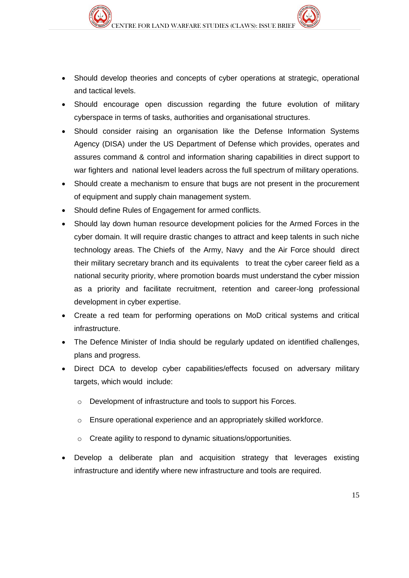- Should develop theories and concepts of cyber operations at strategic, operational and tactical levels.
- Should encourage open discussion regarding the future evolution of military cyberspace in terms of tasks, authorities and organisational structures.
- Should consider raising an organisation like the Defense Information Systems Agency (DISA) under the US Department of Defense which provides, operates and assures command & control and information sharing capabilities in direct support to war fighters and national level leaders across the full spectrum of military operations.
- Should create a mechanism to ensure that bugs are not present in the procurement of equipment and supply chain management system.
- Should define Rules of Engagement for armed conflicts.
- Should lay down human resource development policies for the Armed Forces in the cyber domain. It will require drastic changes to attract and keep talents in such niche technology areas. The Chiefs of the Army, Navy and the Air Force should direct their military secretary branch and its equivalents to treat the cyber career field as a national security priority, where promotion boards must understand the cyber mission as a priority and facilitate recruitment, retention and career-long professional development in cyber expertise.
- Create a red team for performing operations on MoD critical systems and critical infrastructure.
- The Defence Minister of India should be regularly updated on identified challenges, plans and progress.
- Direct DCA to develop cyber capabilities/effects focused on adversary military targets, which would include:
	- o Development of infrastructure and tools to support his Forces.
	- o Ensure operational experience and an appropriately skilled workforce.
	- o Create agility to respond to dynamic situations/opportunities.
- Develop a deliberate plan and acquisition strategy that leverages existing infrastructure and identify where new infrastructure and tools are required.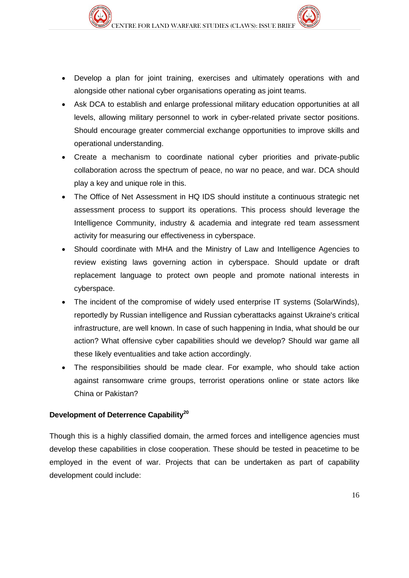- Develop a plan for joint training, exercises and ultimately operations with and alongside other national cyber organisations operating as joint teams.
- Ask DCA to establish and enlarge professional military education opportunities at all levels, allowing military personnel to work in cyber-related private sector positions. Should encourage greater commercial exchange opportunities to improve skills and operational understanding.
- Create a mechanism to coordinate national cyber priorities and private-public collaboration across the spectrum of peace, no war no peace, and war. DCA should play a key and unique role in this.
- The Office of Net Assessment in HQ IDS should institute a continuous strategic net assessment process to support its operations. This process should leverage the Intelligence Community, industry & academia and integrate red team assessment activity for measuring our effectiveness in cyberspace.
- Should coordinate with MHA and the Ministry of Law and Intelligence Agencies to review existing laws governing action in cyberspace. Should update or draft replacement language to protect own people and promote national interests in cyberspace.
- The incident of the compromise of widely used enterprise IT systems (SolarWinds), reportedly by Russian intelligence and Russian cyberattacks against Ukraine's critical infrastructure, are well known. In case of such happening in India, what should be our action? What offensive cyber capabilities should we develop? Should war game all these likely eventualities and take action accordingly.
- The responsibilities should be made clear. For example, who should take action against ransomware crime groups, terrorist operations online or state actors like China or Pakistan?

#### **Development of Deterrence Capability<sup>20</sup>**

Though this is a highly classified domain, the armed forces and intelligence agencies must develop these capabilities in close cooperation. These should be tested in peacetime to be employed in the event of war. Projects that can be undertaken as part of capability development could include: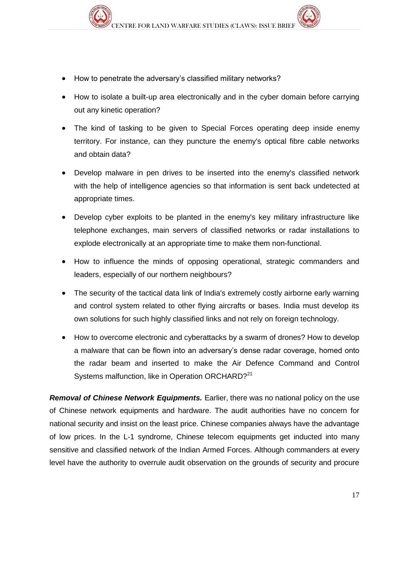- How to penetrate the adversary's classified military networks?
- How to isolate a built-up area electronically and in the cyber domain before carrying out any kinetic operation?
- The kind of tasking to be given to Special Forces operating deep inside enemy territory. For instance, can they puncture the enemy's optical fibre cable networks and obtain data?
- Develop malware in pen drives to be inserted into the enemy's classified network with the help of intelligence agencies so that information is sent back undetected at appropriate times.
- Develop cyber exploits to be planted in the enemy's key military infrastructure like telephone exchanges, main servers of classified networks or radar installations to explode electronically at an appropriate time to make them non-functional.
- How to influence the minds of opposing operational, strategic commanders and leaders, especially of our northern neighbours?
- The security of the tactical data link of India's extremely costly airborne early warning and control system related to other flying aircrafts or bases. India must develop its own solutions for such highly classified links and not rely on foreign technology.
- How to overcome electronic and cyberattacks by a swarm of drones? How to develop a malware that can be flown into an adversary's dense radar coverage, homed onto the radar beam and inserted to make the Air Defence Command and Control Systems malfunction, like in Operation ORCHARD?<sup>21</sup>

*Removal of Chinese Network Equipments.* Earlier, there was no national policy on the use of Chinese network equipments and hardware. The audit authorities have no concern for national security and insist on the least price. Chinese companies always have the advantage of low prices. In the L-1 syndrome, Chinese telecom equipments get inducted into many sensitive and classified network of the Indian Armed Forces. Although commanders at every level have the authority to overrule audit observation on the grounds of security and procure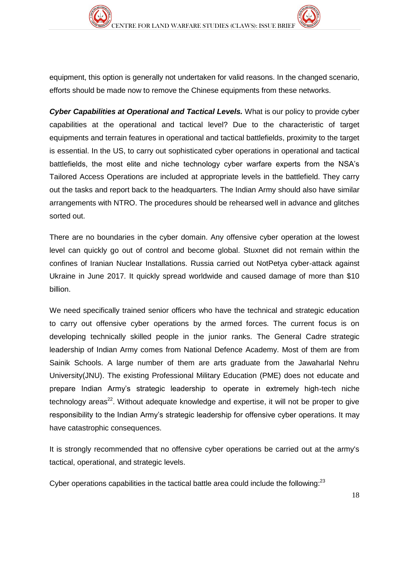equipment, this option is generally not undertaken for valid reasons. In the changed scenario, efforts should be made now to remove the Chinese equipments from these networks.

*Cyber Capabilities at Operational and Tactical Levels.* What is our policy to provide cyber capabilities at the operational and tactical level? Due to the characteristic of target equipments and terrain features in operational and tactical battlefields, proximity to the target is essential. In the US, to carry out sophisticated cyber operations in operational and tactical battlefields, the most elite and niche technology cyber warfare experts from the NSA's Tailored Access Operations are included at appropriate levels in the battlefield. They carry out the tasks and report back to the headquarters. The Indian Army should also have similar arrangements with NTRO. The procedures should be rehearsed well in advance and glitches sorted out.

There are no boundaries in the cyber domain. Any offensive cyber operation at the lowest level can quickly go out of control and become global. Stuxnet did not remain within the confines of Iranian Nuclear Installations. Russia carried out NotPetya cyber-attack against Ukraine in June 2017. It quickly spread worldwide and caused damage of more than \$10 billion.

We need specifically trained senior officers who have the technical and strategic education to carry out offensive cyber operations by the armed forces. The current focus is on developing technically skilled people in the junior ranks. The General Cadre strategic leadership of Indian Army comes from National Defence Academy. Most of them are from Sainik Schools. A large number of them are arts graduate from the Jawaharlal Nehru University(JNU). The existing Professional Military Education (PME) does not educate and prepare Indian Army's strategic leadership to operate in extremely high-tech niche technology areas<sup>22</sup>. Without adequate knowledge and expertise, it will not be proper to give responsibility to the Indian Army's strategic leadership for offensive cyber operations. It may have catastrophic consequences.

It is strongly recommended that no offensive cyber operations be carried out at the army's tactical, operational, and strategic levels.

Cyber operations capabilities in the tactical battle area could include the following: $^{23}$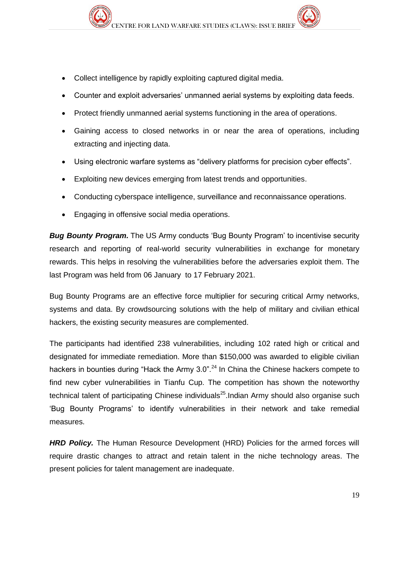- Collect intelligence by rapidly exploiting captured digital media.
- Counter and exploit adversaries' unmanned aerial systems by exploiting data feeds.
- Protect friendly unmanned aerial systems functioning in the area of operations.
- Gaining access to closed networks in or near the area of operations, including extracting and injecting data.
- Using electronic warfare systems as "delivery platforms for precision cyber effects".
- Exploiting new devices emerging from latest trends and opportunities.
- Conducting cyberspace intelligence, surveillance and reconnaissance operations.
- Engaging in offensive social media operations.

**Bug Bounty Program.** The US Army conducts 'Bug Bounty Program' to incentivise security research and reporting of real-world security vulnerabilities in exchange for monetary rewards. This helps in resolving the vulnerabilities before the adversaries exploit them. The last Program was held from 06 January to 17 February 2021.

Bug Bounty Programs are an effective force multiplier for securing critical Army networks, systems and data. By crowdsourcing solutions with the help of military and civilian ethical hackers, the existing security measures are complemented.

The participants had identified 238 vulnerabilities, including 102 rated high or critical and designated for immediate remediation. More than \$150,000 was awarded to eligible civilian hackers in bounties during "Hack the Army 3.0".<sup>24</sup> In China the Chinese hackers compete to find new cyber vulnerabilities in Tianfu Cup. The competition has shown the noteworthy technical talent of participating Chinese individuals<sup>25</sup>. Indian Army should also organise such 'Bug Bounty Programs' to identify vulnerabilities in their network and take remedial measures.

*HRD Policy.* The Human Resource Development (HRD) Policies for the armed forces will require drastic changes to attract and retain talent in the niche technology areas. The present policies for talent management are inadequate.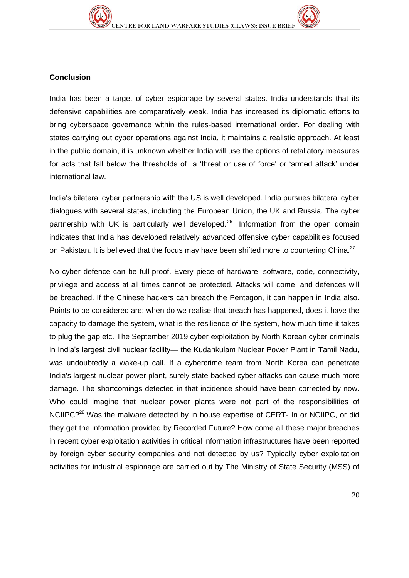

India has been a target of cyber espionage by several states. India understands that its defensive capabilities are comparatively weak. India has increased its diplomatic efforts to bring cyberspace governance within the rules-based international order. For dealing with states carrying out cyber operations against India, it maintains a realistic approach. At least in the public domain, it is unknown whether India will use the options of retaliatory measures for acts that fall below the thresholds of a 'threat or use of force' or 'armed attack' under international law.

India's bilateral cyber partnership with the US is well developed. India pursues bilateral cyber dialogues with several states, including the European Union, the UK and Russia. The cyber partnership with UK is particularly well developed.<sup>26</sup> Information from the open domain indicates that India has developed relatively advanced offensive cyber capabilities focused on Pakistan. It is believed that the focus may have been shifted more to countering China.<sup>27</sup>

No cyber defence can be full-proof. Every piece of hardware, software, code, connectivity, privilege and access at all times cannot be protected. Attacks will come, and defences will be breached. If the Chinese hackers can breach the Pentagon, it can happen in India also. Points to be considered are: when do we realise that breach has happened, does it have the capacity to damage the system, what is the resilience of the system, how much time it takes to plug the gap etc. The September 2019 cyber exploitation by North Korean cyber criminals in India's largest civil nuclear facility— the Kudankulam Nuclear Power Plant in Tamil Nadu, was undoubtedly a wake-up call. If a cybercrime team from North Korea can penetrate India's largest nuclear power plant, surely state-backed cyber attacks can cause much more damage. The shortcomings detected in that incidence should have been corrected by now. Who could imagine that nuclear power plants were not part of the responsibilities of NCIIPC?<sup>28</sup> Was the malware detected by in house expertise of CERT- In or NCIIPC, or did they get the information provided by Recorded Future? How come all these major breaches in recent cyber exploitation activities in critical information infrastructures have been reported by foreign cyber security companies and not detected by us? Typically cyber exploitation activities for industrial espionage are carried out by The Ministry of State Security (MSS) of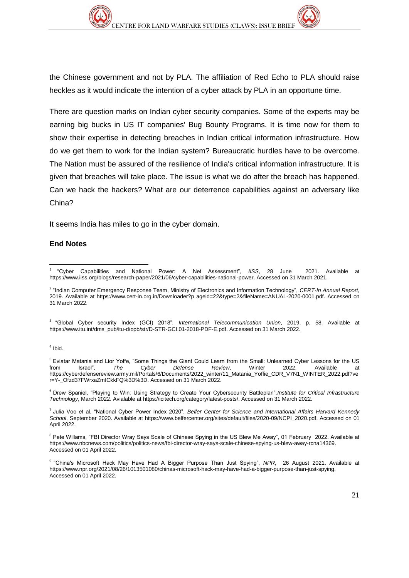the Chinese government and not by PLA. The affiliation of Red Echo to PLA should raise heckles as it would indicate the intention of a cyber attack by PLA in an opportune time.

There are question marks on Indian cyber security companies. Some of the experts may be earning big bucks in US IT companies' Bug Bounty Programs. It is time now for them to show their expertise in detecting breaches in Indian critical information infrastructure. How do we get them to work for the Indian system? Bureaucratic hurdles have to be overcome. The Nation must be assured of the resilience of India's critical information infrastructure. It is given that breaches will take place. The issue is what we do after the breach has happened. Can we hack the hackers? What are our deterrence capabilities against an adversary like China?

It seems India has miles to go in the cyber domain.

#### **End Notes**

3 "Global Cyber security Index (GCI) 2018", *International Telecommunication Union*, 2019, p. 58. Available at [https://www.itu.int/dms\\_pub/itu-d/opb/str/D-STR-GCI.01-2018-PDF-E.pdf.](https://www.itu.int/dms_pub/itu-d/opb/str/D-STR-GCI.01-2018-PDF-E.pdf) Accessed on 31 March 2022.

#### 4 Ibid.

<sup>6</sup> Drew Spaniel, "Playing to Win: Using Strategy to Create Your Cybersecurity Battleplan",*Institute for Critical Infrastructure Technology*, March 2022. Avialable at [https://icitech.org/category/latest-posts/.](https://icitech.org/category/latest-posts/) Accessed on 31 March 2022.

7 Julia Voo et al, "National Cyber Power Index 2020", *Belfer Center for Science and International Affairs Harvard Kennedy School*, September 2020. Available at [https://www.belfercenter.org/sites/default/files/2020-09/NCPI\\_2020.pdf.](https://www.belfercenter.org/sites/default/files/2020-09/NCPI_2020.pdf) Accessed on 01 April 2022.

<sup>8</sup> Pete Willams, "FBI Director Wray Says Scale of Chinese Spying in the US Blew Me Away", 01 February 2022. Available at https://www.nbcnews.com/politics/politics-news/fbi-director-wray-says-scale-chinese-spying-us-blew-away-rcna14369. Accessed on 01 April 2022.

<sup>-</sup>1 "Cyber Capabilities and National Power: A Net Assessment", *IISS*, 28 June 2021. Available at [https://www.iiss.org/blogs/research-paper/2021/06/cyber-capabilities-national-power.](https://www.iiss.org/blogs/research-paper/2021/06/cyber-capabilities-national-power) Accessed on 31 March 2021.

<sup>2</sup> "Indian Computer Emergency Response Team, Ministry of Electronics and Information Technology", *CERT-In Annual Report*, 2019. Available at https://www.cert-in.org.in/Downloader?p ageid=22&type=2&fileName=ANUAL-2020-0001.pdf. Accessed on 31 March 2022.

<sup>&</sup>lt;sup>5</sup> Eviatar Matania and Lior Yoffe, "Some Things the Giant Could Learn from the Small: Unlearned Cyber Lessons for the US from  $\frac{1}{10}$  Israel",  $\frac{1}{10}$  The Cyber Defense Review, Winter 2022. Available at from Israel", *The Cyber Defense Review*, Winter 2022. Available at [https://cyberdefensereview.army.mil/Portals/6/Documents/2022\\_winter/11\\_Matania\\_Yoffie\\_CDR\\_V7N1\\_WINTER\\_2022.pdf?ve](https://cyberdefensereview.army.mil/Portals/6/Documents/2022_winter/11_Matania_Yoffie_CDR_V7N1_WINTER_2022.pdf?ver=Y-_Ofzd37FWrxaZmICkkFQ%3D%3D) [r=Y-\\_Ofzd37FWrxaZmICkkFQ%3D%3D.](https://cyberdefensereview.army.mil/Portals/6/Documents/2022_winter/11_Matania_Yoffie_CDR_V7N1_WINTER_2022.pdf?ver=Y-_Ofzd37FWrxaZmICkkFQ%3D%3D) Accessed on 31 March 2022.

<sup>9</sup> "China's Microsoft Hack May Have Had A Bigger Purpose Than Just Spying", *NPR*, 26 August 2021. Available at [https://www.npr.org/2021/08/26/1013501080/chinas-microsoft-hack-may-have-had-a-bigger-purpose-than-just-spying.](https://www.npr.org/2021/08/26/1013501080/chinas-microsoft-hack-may-have-had-a-bigger-purpose-than-just-spying)  Accessed on 01 April 2022.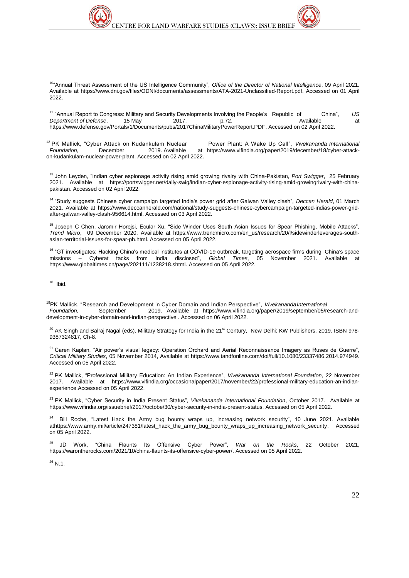1 <sup>10</sup>"Annual Threat Assessment of the US Intelligence Community", *Office of the Director of National Intelligence*, 09 April 2021. Available at [https://www.dni.gov/files/ODNI/documents/assessments/ATA-2021-Unclassified-Report.pdf.](https://www.dni.gov/files/ODNI/documents/assessments/ATA-2021-Unclassified-Report.pdf) Accessed on 01 April 2022.

<sup>11</sup> "Annual Report to Congress: Military and Security Developments Involving the People's Republic of China", *US Department of Defense*, 15 May 2017, p.72. [https://www.defense.gov/Portals/1/Documents/pubs/2017ChinaMilitaryPowerReport.PDF.](https://www.defense.gov/Portals/1/Documents/pubs/2017ChinaMilitaryPowerReport.PDF) Accessed on 02 April 2022.

<sup>12</sup> PK Mallick, "Cyber Attack on Kudankulam Nuclear Power Plant: A Wake Up Call", *Vivekananda International Foundation*, December 2019. Available at [https://www.vifindia.org/paper/2019/december/18/cyber-attack](https://www.vifindia.org/paper/2019/december/18/cyber-attack-on-kudankulam-nuclear-power-plant)[on-kudankulam-nuclear-power-plant.](https://www.vifindia.org/paper/2019/december/18/cyber-attack-on-kudankulam-nuclear-power-plant) Accessed on 02 April 2022.

<sup>13</sup> John Leyden, "Indian cyber espionage activity rising amid growing rivalry with China-Pakistan, *Port Swigger*, 25 February 2021. Available at [https://portswigger.net/daily-swig/indian-cyber-espionage-activity-rising-amid-growingrivalry-with-china](https://portswigger.net/daily-swig/indian-cyber-espionage-activity-rising-amid-growingrivalry-with-china-pakistan)[pakistan.](https://portswigger.net/daily-swig/indian-cyber-espionage-activity-rising-amid-growingrivalry-with-china-pakistan) Accessed on 02 April 2022.

<sup>14</sup> "Study suggests Chinese cyber campaign targeted India's power grid after Galwan Valley clash", *Deccan Herald*, 01 March 2021. Available at [https://www.deccanherald.com/national/study-suggests-chinese-cybercampaign-targeted-indias-power-grid](https://www.deccanherald.com/national/study-suggests-chinese-cybercampaign-targeted-indias-power-grid-after-galwan-valley-clash-956614.html)[after-galwan-valley-clash-956614.html.](https://www.deccanherald.com/national/study-suggests-chinese-cybercampaign-targeted-indias-power-grid-after-galwan-valley-clash-956614.html) Accessed on 03 April 2022.

<sup>15</sup> Joseph C Chen, Jaromir Horejsi, Ecular Xu, "Side Winder Uses South Asian Issues for Spear Phishing, Mobile Attacks", *Trend Micro*, 09 December 2020. Available at [https://www.trendmicro.com/en\\_us/research/20/l/sidewinderleverages-south](https://www.trendmicro.com/en_us/research/20/l/sidewinderleverages-south-asian-territorial-issues-for-spear-ph.html)[asian-territorial-issues-for-spear-ph.html.](https://www.trendmicro.com/en_us/research/20/l/sidewinderleverages-south-asian-territorial-issues-for-spear-ph.html) Accessed on 05 April 2022.

<sup>16</sup> "GT investigates: Hacking China's medical institutes at COVID-19 outbreak, targeting aerospace firms during China's space<br>missions - Cyberat tacks from India disclosed", Global Times, 05 November 2021. Available at missions – Cyberat tacks from India disclosed", *Global Times*, 05 November 2021. Available at [https://www.globaltimes.cn/page/202111/1238218.shtml.](https://www.globaltimes.cn/page/202111/1238218.shtml) Accessed on 05 April 2022.

18 Ibid.

<sup>19</sup>PK Mallick, "Research and Development in Cyber Domain and Indian Perspective", *VivekanandaInternational Foundation*, September 2019. Available at [https://www.vifindia.org/paper/2019/september/05/research-and](https://www.vifindia.org/paper/2019/september/05/research-and-development-in-cyber-domain-and-indian-perspective)[development-in-cyber-domain-and-indian-perspective](https://www.vifindia.org/paper/2019/september/05/research-and-development-in-cyber-domain-and-indian-perspective) . Accessed on 06 April 2022.

<sup>20</sup> AK Singh and Balraj Nagal (eds), Military Strategy for India in the 21<sup>st</sup> Century, New Delhi: KW Publishers, 2019. ISBN 978-9387324817, Ch-8.

<sup>21</sup> Caren Kaplan, "Air power's visual legacy: Operation Orchard and Aerial Reconnaissance Imagery as Ruses de Guerre", *Critical Military Studies*, 05 November 2014, Available at [https://www.tandfonline.com/doi/full/10.1080/23337486.2014.974949.](https://www.tandfonline.com/doi/full/10.1080/23337486.2014.974949) Accessed on 05 April 2022.

<sup>22</sup> PK Mallick, "Professional Military Education: An Indian Experience", *Vivekananda International Foundation*, 22 November 2017. Available at [https://www.vifindia.org/occasionalpaper/2017/november/22/professional-military-education-an-indian](https://www.vifindia.org/occasionalpaper/2017/november/22/professional-military-education-an-indian-experience.Accessed%20on%2005%20April%202022)[experience.Accessed on 05 April 2022.](https://www.vifindia.org/occasionalpaper/2017/november/22/professional-military-education-an-indian-experience.Accessed%20on%2005%20April%202022) 

<sup>23</sup> PK Mallick, "Cyber Security in India Present Status", *Vivekananda International Foundation*, October 2017. Available at [https://www.vifindia.org/issuebrief/2017/octobe/30/cyber-security-in-india-present-status.](https://www.vifindia.org/issuebrief/2017/octobe/30/cyber-security-in-india-present-status) Accessed on 05 April 2022.

<sup>24</sup> Bill Roche, "Latest Hack the Army bug bounty wraps up, increasing network security", 10 June 2021. Available [athttps://www.army.mil/article/247381/latest\\_hack\\_the\\_army\\_bug\\_bounty\\_wraps\\_up\\_increasing\\_network\\_security.](https://www.army.mil/article/247381/latest_hack_the_army_bug_bounty_wraps_up_increasing_network_security) Accessed on 05 April 2022.

<sup>25</sup> JD Work, "China Flaunts Its Offensive Cyber Power", *War on the Rocks*, 22 October 2021, [https://warontherocks.com/2021/10/china-flaunts-its-offensive-cyber-power/.](https://warontherocks.com/2021/10/china-flaunts-its-offensive-cyber-power/) Accessed on 05 April 2022.

 $^{26}$  N.1.